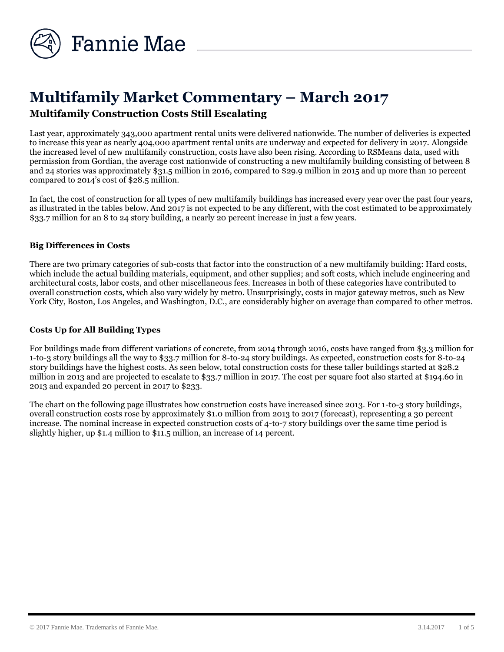

# **Multifamily Market Commentary – March 2017 Multifamily Construction Costs Still Escalating**

Last year, approximately 343,000 apartment rental units were delivered nationwide. The number of deliveries is expected to increase this year as nearly 404,000 apartment rental units are underway and expected for delivery in 2017. Alongside the increased level of new multifamily construction, costs have also been rising. According to RSMeans data, used with permission from Gordian, the average cost nationwide of constructing a new multifamily building consisting of between 8 and 24 stories was approximately \$31.5 million in 2016, compared to \$29.9 million in 2015 and up more than 10 percent compared to 2014's cost of \$28.5 million.

In fact, the cost of construction for all types of new multifamily buildings has increased every year over the past four years, as illustrated in the tables below. And 2017 is not expected to be any different, with the cost estimated to be approximately \$33.7 million for an 8 to 24 story building, a nearly 20 percent increase in just a few years.

#### **Big Differences in Costs**

There are two primary categories of sub-costs that factor into the construction of a new multifamily building: Hard costs, which include the actual building materials, equipment, and other supplies; and soft costs, which include engineering and architectural costs, labor costs, and other miscellaneous fees. Increases in both of these categories have contributed to overall construction costs, which also vary widely by metro. Unsurprisingly, costs in major gateway metros, such as New York City, Boston, Los Angeles, and Washington, D.C., are considerably higher on average than compared to other metros.

#### **Costs Up for All Building Types**

For buildings made from different variations of concrete, from 2014 through 2016, costs have ranged from \$3.3 million for 1-to-3 story buildings all the way to \$33.7 million for 8-to-24 story buildings. As expected, construction costs for 8-to-24 story buildings have the highest costs. As seen below, total construction costs for these taller buildings started at \$28.2 million in 2013 and are projected to escalate to \$33.7 million in 2017. The cost per square foot also started at \$194.60 in 2013 and expanded 20 percent in 2017 to \$233.

The chart on the following page illustrates how construction costs have increased since 2013. For 1-to-3 story buildings, overall construction costs rose by approximately \$1.0 million from 2013 to 2017 (forecast), representing a 30 percent increase. The nominal increase in expected construction costs of 4-to-7 story buildings over the same time period is slightly higher, up \$1.4 million to \$11.5 million, an increase of 14 percent.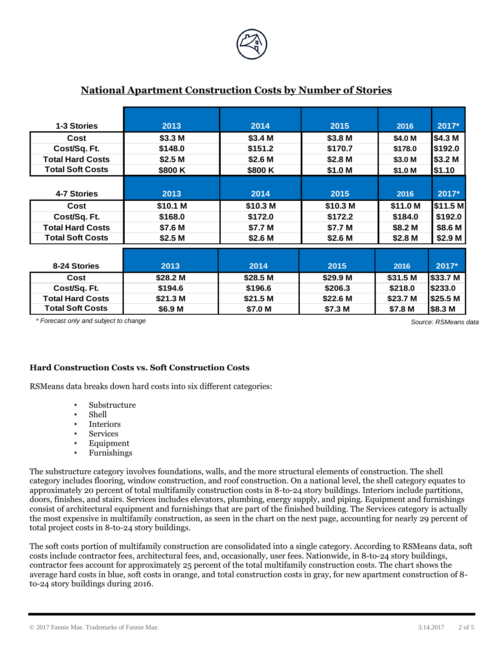

| 1-3 Stories             | 2013               | 2014     | 2015     | 2016     | 2017*    |
|-------------------------|--------------------|----------|----------|----------|----------|
| Cost                    | \$3.3 M            | \$3.4 M  | \$3.8 M  | \$4.0 M  | \$4.3 M  |
| Cost/Sq. Ft.            | \$148.0            | \$151.2  | \$170.7  | \$178.0  | \$192.0  |
| <b>Total Hard Costs</b> | \$2.5 <sub>M</sub> | \$2.6 M  | \$2.8 M  | \$3.0 M  | \$3.2 M  |
| <b>Total Soft Costs</b> | \$800K             | \$800K   | \$1.0 M  | \$1.0 M  | \$1.10   |
|                         |                    |          |          |          |          |
| 4-7 Stories             | 2013               | 2014     | 2015     | 2016     | 2017*    |
| Cost                    | \$10.1 M           | \$10.3 M | \$10.3 M | \$11.0 M | \$11.5 M |
| Cost/Sq. Ft.            | \$168.0            | \$172.0  | \$172.2  | \$184.0  | \$192.0  |
| <b>Total Hard Costs</b> | \$7.6 M            | \$7.7 M  | \$7.7 M  | \$8.2 M  | \$8.6 M  |
| <b>Total Soft Costs</b> | \$2.5 M            | \$2.6 M  | \$2.6 M  | \$2.8 M  | \$2.9 M  |
|                         |                    |          |          |          |          |
| 8-24 Stories            | 2013               | 2014     | 2015     | 2016     | 2017*    |
| Cost                    | \$28.2 M           | \$28.5 M | \$29.9 M | \$31.5 M | \$33.7 M |
| Cost/Sq. Ft.            | \$194.6            | \$196.6  | \$206.3  | \$218.0  | \$233.0  |
| <b>Total Hard Costs</b> | \$21.3 M           | \$21.5 M | \$22.6 M | \$23.7 M | \$25.5 M |
| <b>Total Soft Costs</b> | \$6.9 M            | \$7.0 M  | \$7.3 M  | \$7.8 M  | \$8.3 M  |

#### **National Apartment Construction Costs by Number of Stories**

*\* Forecast only and subject to change Source: RSMeans data Source: RSMeans Source: RSMeans*

#### **Hard Construction Costs vs. Soft Construction Costs**

RSMeans data breaks down hard costs into six different categories:

- Substructure
- Shell
- **Interiors**
- Services
- Equipment<br>• Furnishings
- Furnishings

The substructure category involves foundations, walls, and the more structural elements of construction. The shell category includes flooring, window construction, and roof construction. On a national level, the shell category equates to approximately 20 percent of total multifamily construction costs in 8-to-24 story buildings. Interiors include partitions, doors, finishes, and stairs. Services includes elevators, plumbing, energy supply, and piping. Equipment and furnishings consist of architectural equipment and furnishings that are part of the finished building. The Services category is actually the most expensive in multifamily construction, as seen in the chart on the next page, accounting for nearly 29 percent of total project costs in 8-to-24 story buildings.

The soft costs portion of multifamily construction are consolidated into a single category. According to RSMeans data, soft costs include contractor fees, architectural fees, and, occasionally, user fees. Nationwide, in 8-to-24 story buildings, contractor fees account for approximately 25 percent of the total multifamily construction costs. The chart shows the average hard costs in blue, soft costs in orange, and total construction costs in gray, for new apartment construction of 8 to-24 story buildings during 2016.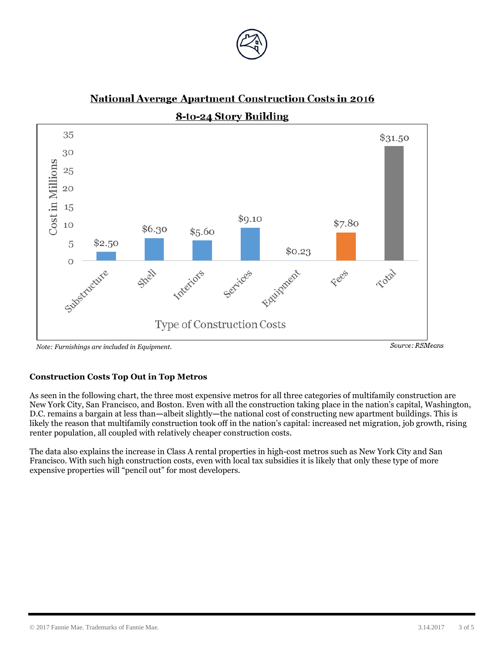



## **National Average Apartment Construction Costs in 2016**

8-to-24 Story Building

*Note: Furnishings are included in Equipment.*

#### **Construction Costs Top Out in Top Metros**

As seen in the following chart, the three most expensive metros for all three categories of multifamily construction are New York City, San Francisco, and Boston. Even with all the construction taking place in the nation's capital, Washington, D.C. remains a bargain at less than**—**albeit slightly**—**the national cost of constructing new apartment buildings. This is likely the reason that multifamily construction took off in the nation's capital: increased net migration, job growth, rising renter population, all coupled with relatively cheaper construction costs.

The data also explains the increase in Class A rental properties in high-cost metros such as New York City and San Francisco. With such high construction costs, even with local tax subsidies it is likely that only these type of more expensive properties will "pencil out" for most developers.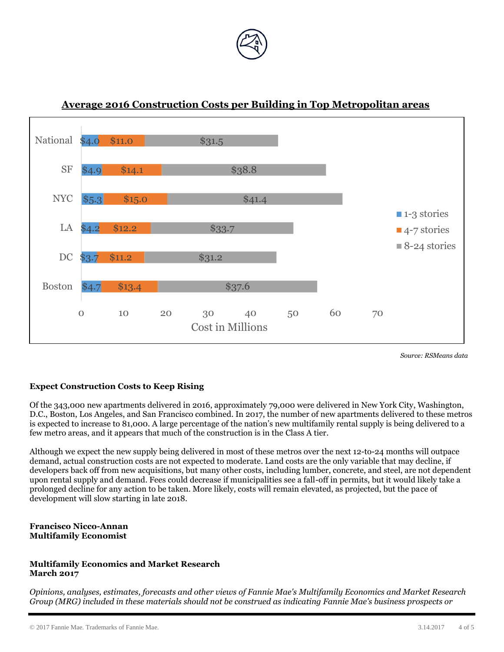

#### \$4.7  $$3.7$  $$4.2$  $$5.3$ \$4.9 National \$4.0 \$13.4 \$11.2  $$12.2$ \$15.0 \$14.1 \$11.0 \$37.6 \$31.2 \$33.7 \$41.4 \$38.8 \$31.5 0 10 20 30 40 50 60 70 Boston DC LA NYC SF Cost in Millions ■ 1-3 stories ■4-7 stories ■ 8-24 stories

### **Average 2016 Construction Costs per Building in Top Metropolitan areas**

*Source: RSMeans data*

#### **Expect Construction Costs to Keep Rising**

Of the 343,000 new apartments delivered in 2016, approximately 79,000 were delivered in New York City, Washington, D.C., Boston, Los Angeles, and San Francisco combined. In 2017, the number of new apartments delivered to these metros is expected to increase to 81,000. A large percentage of the nation's new multifamily rental supply is being delivered to a few metro areas, and it appears that much of the construction is in the Class A tier.

Although we expect the new supply being delivered in most of these metros over the next 12-to-24 months will outpace demand, actual construction costs are not expected to moderate. Land costs are the only variable that may decline, if developers back off from new acquisitions, but many other costs, including lumber, concrete, and steel, are not dependent upon rental supply and demand. Fees could decrease if municipalities see a fall-off in permits, but it would likely take a prolonged decline for any action to be taken. More likely, costs will remain elevated, as projected, but the pace of development will slow starting in late 2018.

#### **Francisco Nicco-Annan Multifamily Economist**

#### **Multifamily Economics and Market Research March 2017**

*Opinions, analyses, estimates, forecasts and other views of Fannie Mae's Multifamily Economics and Market Research Group (MRG) included in these materials should not be construed as indicating Fannie Mae's business prospects or*